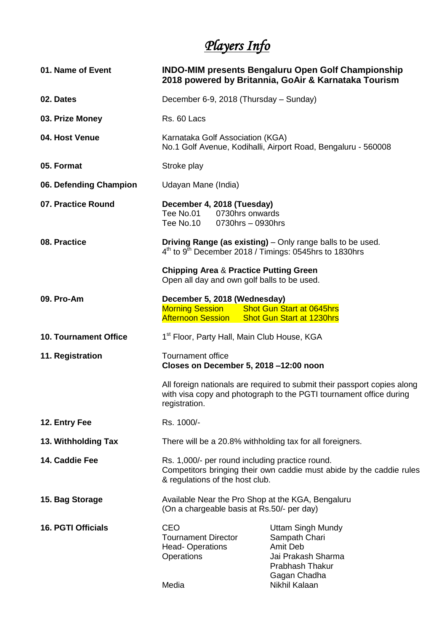## *Players Info*

| 01. Name of Event            | <b>INDO-MIM presents Bengaluru Open Golf Championship</b><br>2018 powered by Britannia, GoAir & Karnataka Tourism                                                                                                                     |                                                                                                                                        |
|------------------------------|---------------------------------------------------------------------------------------------------------------------------------------------------------------------------------------------------------------------------------------|----------------------------------------------------------------------------------------------------------------------------------------|
| 02. Dates                    | December 6-9, 2018 (Thursday – Sunday)                                                                                                                                                                                                |                                                                                                                                        |
| 03. Prize Money              | Rs. 60 Lacs                                                                                                                                                                                                                           |                                                                                                                                        |
| 04. Host Venue               | Karnataka Golf Association (KGA)<br>No.1 Golf Avenue, Kodihalli, Airport Road, Bengaluru - 560008                                                                                                                                     |                                                                                                                                        |
| 05. Format                   | Stroke play                                                                                                                                                                                                                           |                                                                                                                                        |
| 06. Defending Champion       | Udayan Mane (India)                                                                                                                                                                                                                   |                                                                                                                                        |
| 07. Practice Round           | December 4, 2018 (Tuesday)<br>Tee No.01 0730hrs onwards<br>Tee No.10<br>0730hrs - 0930hrs                                                                                                                                             |                                                                                                                                        |
| 08. Practice                 | Driving Range (as existing) - Only range balls to be used.<br>$4th$ to $9th$ December 2018 / Timings: 0545hrs to 1830hrs<br><b>Chipping Area &amp; Practice Putting Green</b><br>Open all day and own golf balls to be used.          |                                                                                                                                        |
|                              |                                                                                                                                                                                                                                       |                                                                                                                                        |
| 09. Pro-Am                   | December 5, 2018 (Wednesday)<br><b>Morning Session</b><br><b>Afternoon Session</b>                                                                                                                                                    | <b>Shot Gun Start at 0645hrs</b><br><b>Shot Gun Start at 1230hrs</b>                                                                   |
| <b>10. Tournament Office</b> | 1 <sup>st</sup> Floor, Party Hall, Main Club House, KGA                                                                                                                                                                               |                                                                                                                                        |
| 11. Registration             | <b>Tournament office</b><br>Closes on December 5, 2018 -12:00 noon<br>All foreign nationals are required to submit their passport copies along<br>with visa copy and photograph to the PGTI tournament office during<br>registration. |                                                                                                                                        |
|                              |                                                                                                                                                                                                                                       |                                                                                                                                        |
| 12. Entry Fee                | Rs. 1000/-                                                                                                                                                                                                                            |                                                                                                                                        |
| 13. Withholding Tax          | There will be a 20.8% withholding tax for all foreigners.                                                                                                                                                                             |                                                                                                                                        |
| 14. Caddie Fee               | Rs. 1,000/- per round including practice round.<br>Competitors bringing their own caddie must abide by the caddie rules<br>& regulations of the host club.                                                                            |                                                                                                                                        |
| 15. Bag Storage              | Available Near the Pro Shop at the KGA, Bengaluru<br>(On a chargeable basis at Rs.50/- per day)                                                                                                                                       |                                                                                                                                        |
| <b>16. PGTI Officials</b>    | <b>CEO</b><br><b>Tournament Director</b><br><b>Head-Operations</b><br>Operations<br>Media                                                                                                                                             | <b>Uttam Singh Mundy</b><br>Sampath Chari<br><b>Amit Deb</b><br>Jai Prakash Sharma<br>Prabhash Thakur<br>Gagan Chadha<br>Nikhil Kalaan |